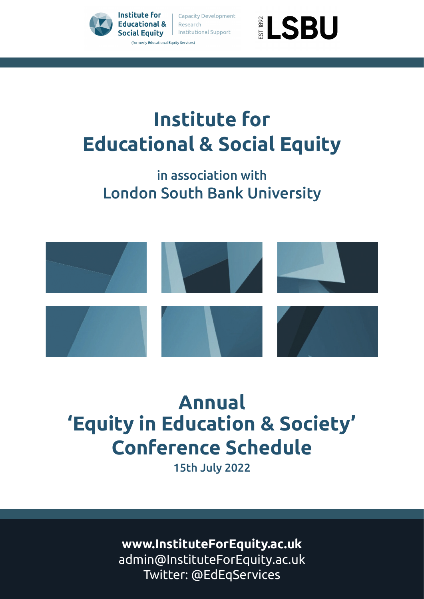

**Capacity Development** Research Institutional Support



## **Institute for Educational & Social Equity**

in association with London South Bank University



# **Annual 'Equity in Education & Society' Conference Schedule**

15th July 2022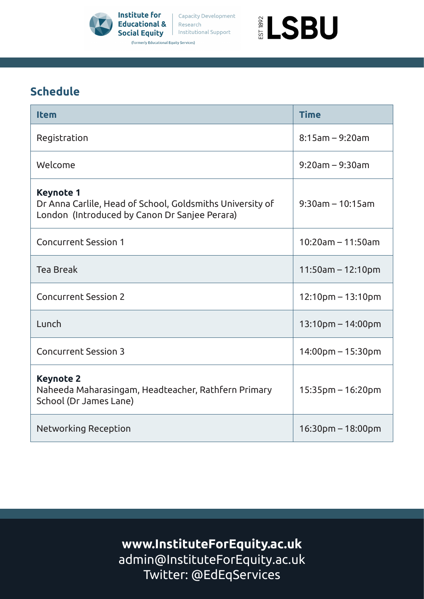

Capacity Development Research **Social Equity** | Institutional Support

(formerly Educational Equity Services)



## **Schedule**

| <b>Item</b>                                                                                                                    | <b>Time</b>                         |
|--------------------------------------------------------------------------------------------------------------------------------|-------------------------------------|
| Registration                                                                                                                   | $8:15$ am - 9:20am                  |
| Welcome                                                                                                                        | $9:20$ am – $9:30$ am               |
| <b>Keynote 1</b><br>Dr Anna Carlile, Head of School, Goldsmiths University of<br>London (Introduced by Canon Dr Sanjee Perara) | $9:30$ am - 10:15am                 |
| <b>Concurrent Session 1</b>                                                                                                    | $10:20$ am - 11:50am                |
| <b>Tea Break</b>                                                                                                               | $11:50$ am – 12:10pm                |
| <b>Concurrent Session 2</b>                                                                                                    | $12:10$ pm – 13:10pm                |
| Lunch                                                                                                                          | $13:10$ pm – 14:00pm                |
| <b>Concurrent Session 3</b>                                                                                                    | $14:00 \text{pm} - 15:30 \text{pm}$ |
| <b>Keynote 2</b><br>Naheeda Maharasingam, Headteacher, Rathfern Primary<br>School (Dr James Lane)                              | $15:35$ pm – 16:20pm                |
| Networking Reception                                                                                                           | $16:30$ pm – 18:00pm                |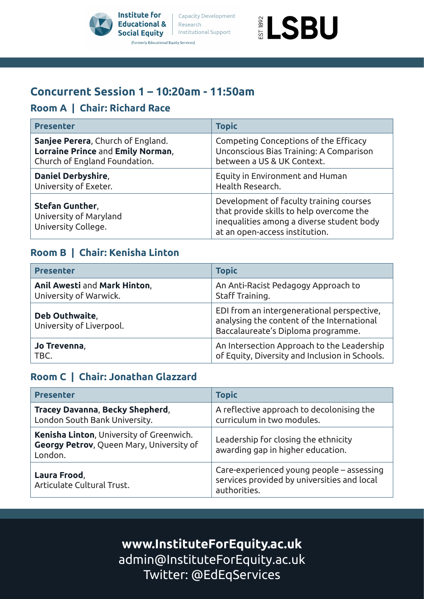

| Capacity Development Research **Social Equity** | Institutional Support (formerly Educational Equity Services)



#### **Concurrent Session 1 – 10:20am - 11:50am**

#### **Room A | Chair: Richard Race**

| <b>Presenter</b>                                                        | <b>Topic</b>                                                                                                                                                       |
|-------------------------------------------------------------------------|--------------------------------------------------------------------------------------------------------------------------------------------------------------------|
| Sanjee Perera, Church of England.                                       | Competing Conceptions of the Efficacy                                                                                                                              |
| Lorraine Prince and Emily Norman,                                       | Unconscious Bias Training: A Comparison                                                                                                                            |
| Church of England Foundation.                                           | between a US & UK Context.                                                                                                                                         |
| Daniel Derbyshire,                                                      | Equity in Environment and Human                                                                                                                                    |
| University of Exeter.                                                   | Health Research.                                                                                                                                                   |
| <b>Stefan Gunther,</b><br>University of Maryland<br>University College. | Development of faculty training courses<br>that provide skills to help overcome the<br>inequalities among a diverse student body<br>at an open-access institution. |

#### **Room B | Chair: Kenisha Linton**

| <b>Presenter</b>                           | <b>Topic</b>                                                                                                                   |
|--------------------------------------------|--------------------------------------------------------------------------------------------------------------------------------|
| Anil Awesti and Mark Hinton,               | An Anti-Racist Pedagogy Approach to                                                                                            |
| University of Warwick.                     | Staff Training.                                                                                                                |
| Deb Outhwaite,<br>University of Liverpool. | EDI from an intergenerational perspective,<br>analysing the content of the International<br>Baccalaureate's Diploma programme. |
| Jo Trevenna,                               | An Intersection Approach to the Leadership                                                                                     |
| TBC.                                       | of Equity, Diversity and Inclusion in Schools.                                                                                 |

#### **Room C | Chair: Jonathan Glazzard**

| <b>Presenter</b>                                                                                              | <b>Topic</b>                                                                                             |
|---------------------------------------------------------------------------------------------------------------|----------------------------------------------------------------------------------------------------------|
| Tracey Davanna, Becky Shepherd,<br>London South Bank University.                                              | A reflective approach to decolonising the<br>curriculum in two modules.                                  |
| <b>Kenisha Linton, University of Greenwich.</b><br><b>Georgy Petrov, Queen Mary, University of</b><br>London. | Leadership for closing the ethnicity<br>awarding gap in higher education.                                |
| Laura Frood,<br>Articulate Cultural Trust.                                                                    | Care-experienced young people – assessing<br>services provided by universities and local<br>authorities. |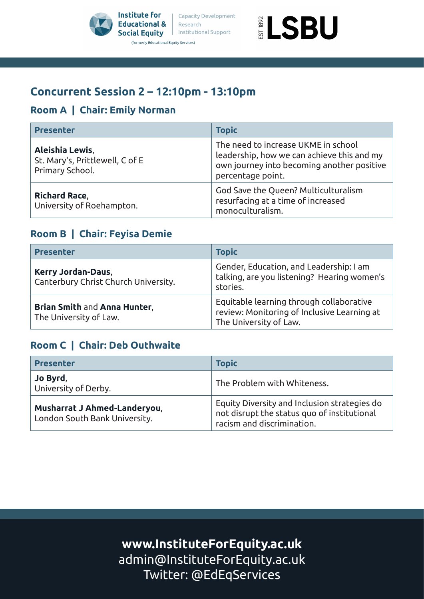



### **Concurrent Session 2 – 12:10pm - 13:10pm**

#### **Room A | Chair: Emily Norman**

| <b>Presenter</b>                                                      | <b>Topic</b>                                                                                                                                         |
|-----------------------------------------------------------------------|------------------------------------------------------------------------------------------------------------------------------------------------------|
| Aleishia Lewis,<br>St. Mary's, Prittlewell, C of E<br>Primary School. | The need to increase UKME in school<br>leadership, how we can achieve this and my<br>own journey into becoming another positive<br>percentage point. |
| <b>Richard Race,</b><br>University of Roehampton.                     | God Save the Queen? Multiculturalism<br>resurfacing at a time of increased<br>monoculturalism.                                                       |

#### **Room B | Chair: Feyisa Demie**

| <b>Presenter</b>                                           | <b>Topic</b>                                                                                                      |
|------------------------------------------------------------|-------------------------------------------------------------------------------------------------------------------|
| Kerry Jordan-Daus,<br>Canterbury Christ Church University. | Gender, Education, and Leadership: I am<br>talking, are you listening? Hearing women's<br>stories.                |
| Brian Smith and Anna Hunter,<br>The University of Law.     | Equitable learning through collaborative<br>review: Monitoring of Inclusive Learning at<br>The University of Law. |

#### **Room C | Chair: Deb Outhwaite**

| <b>Presenter</b>                                              | <b>Topic</b>                                                                                                              |
|---------------------------------------------------------------|---------------------------------------------------------------------------------------------------------------------------|
| Jo Byrd,<br>University of Derby.                              | The Problem with Whiteness.                                                                                               |
| Musharrat J Ahmed-Landeryou,<br>London South Bank University. | Equity Diversity and Inclusion strategies do<br>not disrupt the status quo of institutional<br>racism and discrimination. |